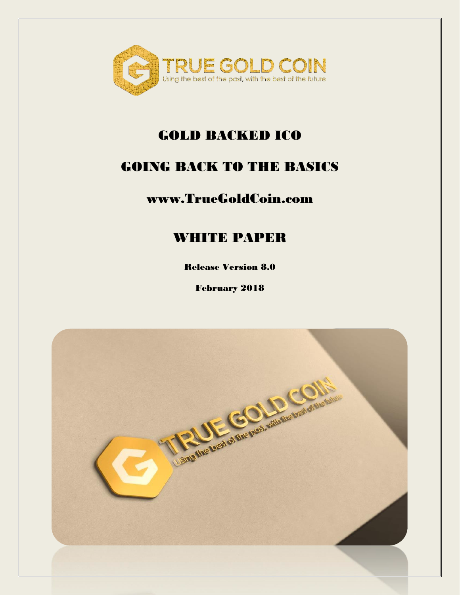

### GOLD BACKED ICO

### GOING BACK TO THE BASICS

### www.TrueGoldCoin.com

### WHITE PAPER

Release Version 8.0

February 2018

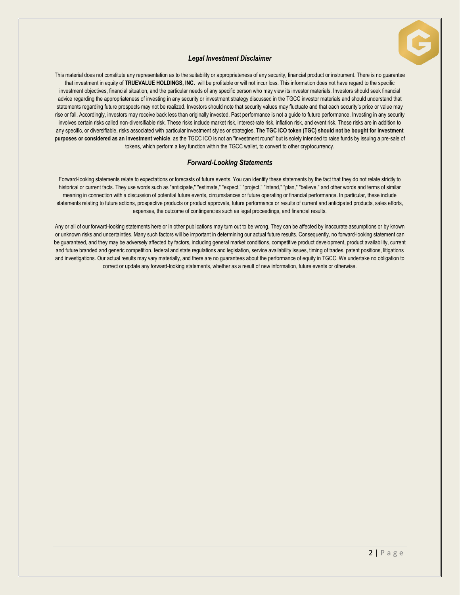

#### *Legal Investment Disclaimer*

This material does not constitute any representation as to the suitability or appropriateness of any security, financial product or instrument. There is no guarantee that investment in equity of **TRUEVALUE HOLDINGS, INC.** will be profitable or will not incur loss. This information does not have regard to the specific investment objectives, financial situation, and the particular needs of any specific person who may view its investor materials. Investors should seek financial advice regarding the appropriateness of investing in any security or investment strategy discussed in the TGCC investor materials and should understand that statements regarding future prospects may not be realized. Investors should note that security values may fluctuate and that each security's price or value may rise or fall. Accordingly, investors may receive back less than originally invested. Past performance is not a guide to future performance. Investing in any security involves certain risks called non-diversifiable risk. These risks include market risk, interest-rate risk, inflation risk, and event risk. These risks are in addition to any specific, or diversifiable, risks associated with particular investment styles or strategies. **The TGC ICO token (TGC) should not be bought for investment purposes or considered as an investment vehicle**, as the TGCC ICO is not an "investment round" but is solely intended to raise funds by issuing a pre-sale of tokens, which perform a key function within the TGCC wallet, to convert to other cryptocurrency.

#### *Forward-Looking Statements*

Forward-looking statements relate to expectations or forecasts of future events. You can identify these statements by the fact that they do not relate strictly to historical or current facts. They use words such as "anticipate," "estimate," "expect," "project," "intend," "plan," "believe," and other words and terms of similar meaning in connection with a discussion of potential future events, circumstances or future operating or financial performance. In particular, these include statements relating to future actions, prospective products or product approvals, future performance or results of current and anticipated products, sales efforts, expenses, the outcome of contingencies such as legal proceedings, and financial results.

Any or all of our forward-looking statements here or in other publications may turn out to be wrong. They can be affected by inaccurate assumptions or by known or unknown risks and uncertainties. Many such factors will be important in determining our actual future results. Consequently, no forward-looking statement can be guaranteed, and they may be adversely affected by factors, including general market conditions, competitive product development, product availability, current and future branded and generic competition, federal and state regulations and legislation, service availability issues, timing of trades, patent positions, litigations and investigations. Our actual results may vary materially, and there are no guarantees about the performance of equity in TGCC. We undertake no obligation to correct or update any forward-looking statements, whether as a result of new information, future events or otherwise.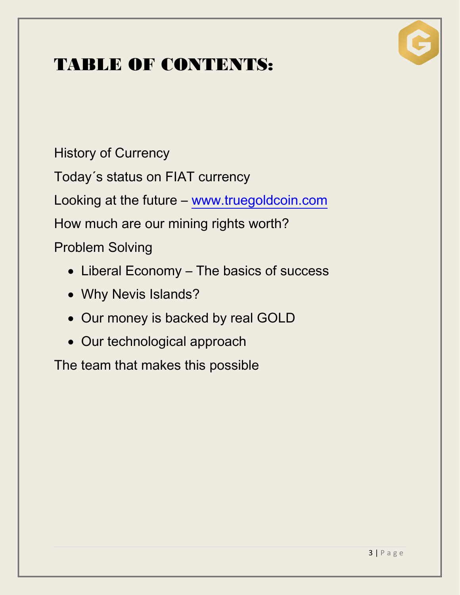## TABLE OF CONTENTS:



History of Currency

Today´s status on FIAT currency

Looking at the future – [www.truegoldcoin.com](http://www.truegoldcoin.com/)

How much are our mining rights worth?

Problem Solving

- Liberal Economy The basics of success
- Why Nevis Islands?
- Our money is backed by real GOLD
- Our technological approach

The team that makes this possible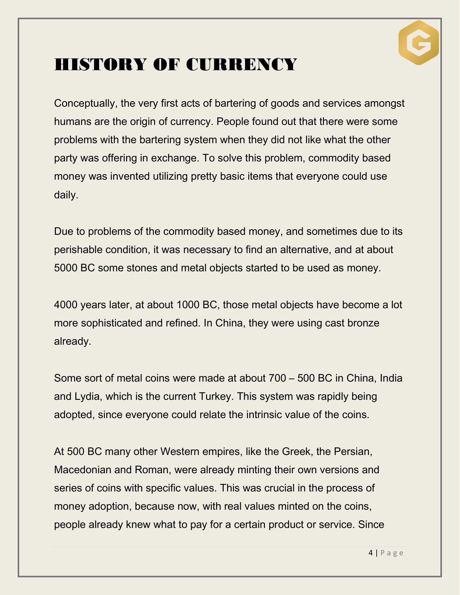

### HISTORY OF CURRENCY

Conceptually, the very first acts of bartering of goods and services amongst humans are the origin of currency. People found out that there were some problems with the bartering system when they did not like what the other party was offering in exchange. To solve this problem, commodity based money was invented utilizing pretty basic items that everyone could use daily.

Due to problems of the commodity based money, and sometimes due to its perishable condition, it was necessary to find an alternative, and at about 5000 BC some stones and metal objects started to be used as money.

4000 years later, at about 1000 BC, those metal objects have become a lot more sophisticated and refined. In China, they were using cast bronze already.

Some sort of metal coins were made at about 700 – 500 BC in China, India and Lydia, which is the current Turkey. This system was rapidly being adopted, since everyone could relate the intrinsic value of the coins.

At 500 BC many other Western empires, like the Greek, the Persian, Macedonian and Roman, were already minting their own versions and series of coins with specific values. This was crucial in the process of money adoption, because now, with real values minted on the coins, people already knew what to pay for a certain product or service. Since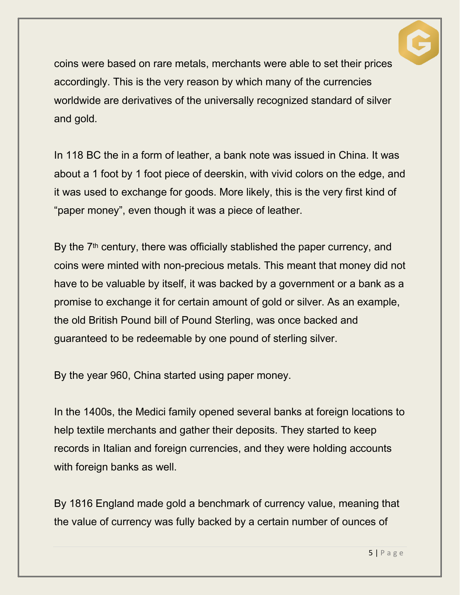

coins were based on rare metals, merchants were able to set their prices accordingly. This is the very reason by which many of the currencies worldwide are derivatives of the universally recognized standard of silver and gold.

In 118 BC the in a form of leather, a bank note was issued in China. It was about a 1 foot by 1 foot piece of deerskin, with vivid colors on the edge, and it was used to exchange for goods. More likely, this is the very first kind of "paper money", even though it was a piece of leather.

By the 7<sup>th</sup> century, there was officially stablished the paper currency, and coins were minted with non-precious metals. This meant that money did not have to be valuable by itself, it was backed by a government or a bank as a promise to exchange it for certain amount of gold or silver. As an example, the old British Pound bill of Pound Sterling, was once backed and guaranteed to be redeemable by one pound of sterling silver.

By the year 960, China started using paper money.

In the 1400s, the Medici family opened several banks at foreign locations to help textile merchants and gather their deposits. They started to keep records in Italian and foreign currencies, and they were holding accounts with foreign banks as well.

By 1816 England made gold a benchmark of currency value, meaning that the value of currency was fully backed by a certain number of ounces of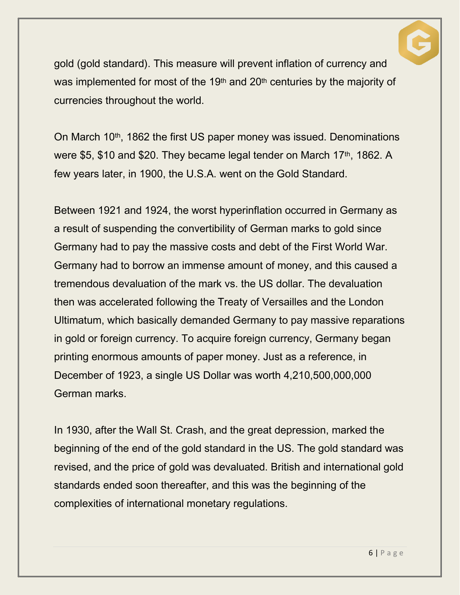

gold (gold standard). This measure will prevent inflation of currency and was implemented for most of the 19<sup>th</sup> and 20<sup>th</sup> centuries by the majority of currencies throughout the world.

On March 10th, 1862 the first US paper money was issued. Denominations were \$5, \$10 and \$20. They became legal tender on March 17th, 1862. A few years later, in 1900, the U.S.A. went on the Gold Standard.

Between 1921 and 1924, the worst hyperinflation occurred in Germany as a result of suspending the convertibility of German marks to gold since Germany had to pay the massive costs and debt of the First World War. Germany had to borrow an immense amount of money, and this caused a tremendous devaluation of the mark vs. the US dollar. The devaluation then was accelerated following the Treaty of Versailles and the London Ultimatum, which basically demanded Germany to pay massive reparations in gold or foreign currency. To acquire foreign currency, Germany began printing enormous amounts of paper money. Just as a reference, in December of 1923, a single US Dollar was worth 4,210,500,000,000 German marks.

In 1930, after the Wall St. Crash, and the great depression, marked the beginning of the end of the gold standard in the US. The gold standard was revised, and the price of gold was devaluated. British and international gold standards ended soon thereafter, and this was the beginning of the complexities of international monetary regulations.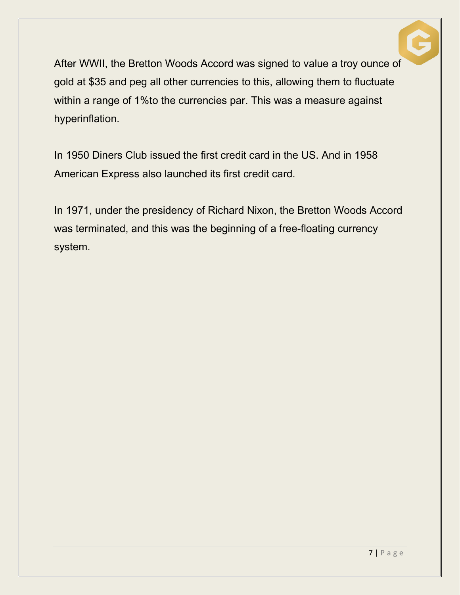

After WWII, the Bretton Woods Accord was signed to value a troy ounce of gold at \$35 and peg all other currencies to this, allowing them to fluctuate within a range of 1%to the currencies par. This was a measure against hyperinflation.

In 1950 Diners Club issued the first credit card in the US. And in 1958 American Express also launched its first credit card.

In 1971, under the presidency of Richard Nixon, the Bretton Woods Accord was terminated, and this was the beginning of a free-floating currency system.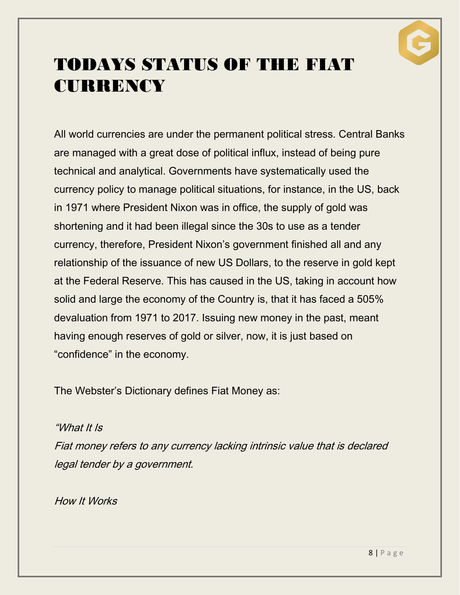

## TODAYS STATUS OF THE FIAT **CURRENCY**

All world currencies are under the permanent political stress. Central Banks are managed with a great dose of political influx, instead of being pure technical and analytical. Governments have systematically used the currency policy to manage political situations, for instance, in the US, back in 1971 where President Nixon was in office, the supply of gold was shortening and it had been illegal since the 30s to use as a tender currency, therefore, President Nixon's government finished all and any relationship of the issuance of new US Dollars, to the reserve in gold kept at the Federal Reserve. This has caused in the US, taking in account how solid and large the economy of the Country is, that it has faced a 505% devaluation from 1971 to 2017. Issuing new money in the past, meant having enough reserves of gold or silver, now, it is just based on "confidence" in the economy.

The Webster's Dictionary defines Fiat Money as:

"What It Is

Fiat money refers to any currency lacking intrinsic value that is declared legal tender by a government.

How It Works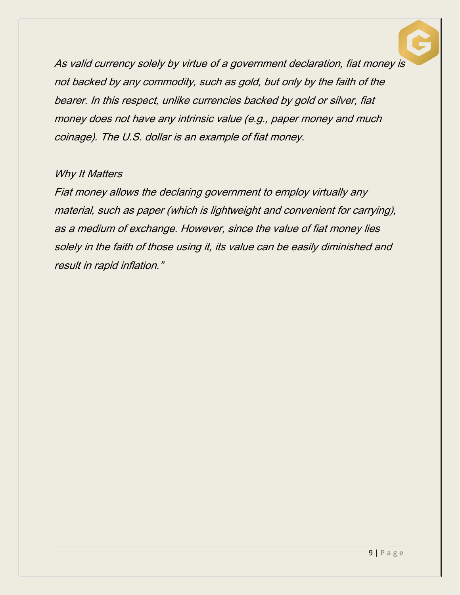

As valid currency solely by virtue of a government declaration, fiat money is not backed by any commodity, such as gold, but only by the faith of the bearer. In this respect, unlike currencies backed by gold or silver, fiat money does not have any intrinsic value (e.g., paper money and much coinage). The U.S. dollar is an example of fiat money.

#### Why It Matters

Fiat money allows the declaring government to employ virtually any material, such as paper (which is lightweight and convenient for carrying), as a medium of exchange. However, since the value of fiat money lies solely in the faith of those using it, its value can be easily diminished and result in rapid inflation."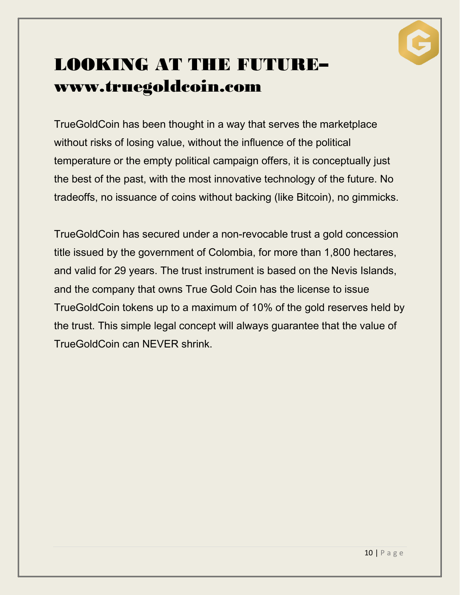

## LOOKING AT THE FUTURE– [www.truegoldcoin.com](http://www.truegoldcoin.com/)

TrueGoldCoin has been thought in a way that serves the marketplace without risks of losing value, without the influence of the political temperature or the empty political campaign offers, it is conceptually just the best of the past, with the most innovative technology of the future. No tradeoffs, no issuance of coins without backing (like Bitcoin), no gimmicks.

TrueGoldCoin has secured under a non-revocable trust a gold concession title issued by the government of Colombia, for more than 1,800 hectares, and valid for 29 years. The trust instrument is based on the Nevis Islands, and the company that owns True Gold Coin has the license to issue TrueGoldCoin tokens up to a maximum of 10% of the gold reserves held by the trust. This simple legal concept will always guarantee that the value of TrueGoldCoin can NEVER shrink.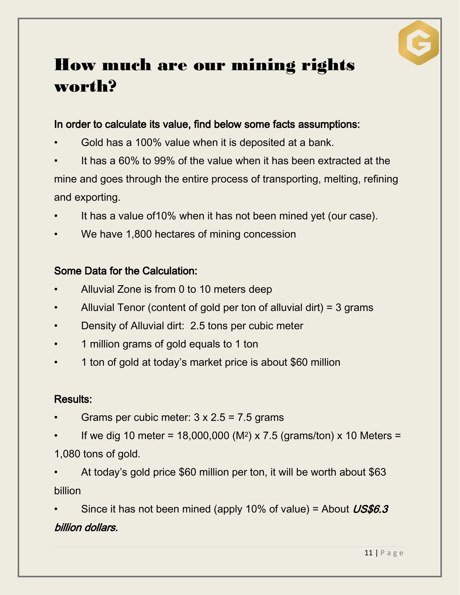

### How much are our mining rights worth?

#### In order to calculate its value, find below some facts assumptions:

- Gold has a 100% value when it is deposited at a bank.
- It has a 60% to 99% of the value when it has been extracted at the mine and goes through the entire process of transporting, melting, refining and exporting.
- It has a value of 10% when it has not been mined yet (our case).
- We have 1,800 hectares of mining concession

#### Some Data for the Calculation:

- Alluvial Zone is from 0 to 10 meters deep
- Alluvial Tenor (content of gold per ton of alluvial dirt) = 3 grams
- Density of Alluvial dirt: 2.5 tons per cubic meter
- 1 million grams of gold equals to 1 ton
- 1 ton of gold at today's market price is about \$60 million

#### Results:

- Grams per cubic meter:  $3 \times 2.5 = 7.5$  grams
- If we dig 10 meter = 18,000,000 (M<sup>2</sup>) x 7.5 (grams/ton) x 10 Meters =
- 1,080 tons of gold.
- At today's gold price \$60 million per ton, it will be worth about \$63 billion

Since it has not been mined (apply 10% of value) = About  $\textit{USS6.3}$ billion dollars.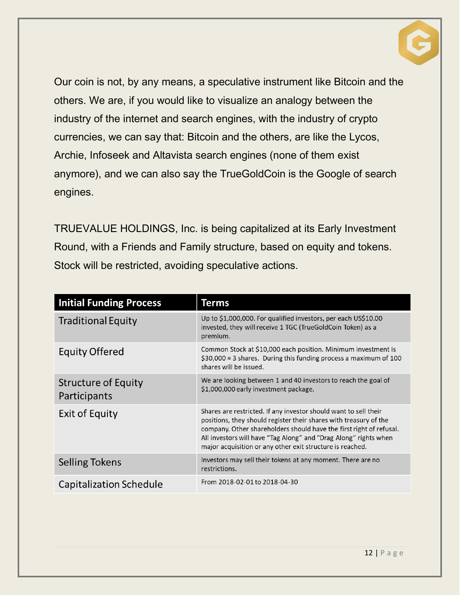

Our coin is not, by any means, a speculative instrument like Bitcoin and the others. We are, if you would like to visualize an analogy between the industry of the internet and search engines, with the industry of crypto currencies, we can say that: Bitcoin and the others, are like the Lycos, Archie, Infoseek and Altavista search engines (none of them exist anymore), and we can also say the TrueGoldCoin is the Google of search engines.

TRUEVALUE HOLDINGS, Inc. is being capitalized at its Early Investment Round, with a Friends and Family structure, based on equity and tokens. Stock will be restricted, avoiding speculative actions.

| <b>Initial Funding Process</b>             | Terms                                                                                                                                                                                                                                                                                                                                         |
|--------------------------------------------|-----------------------------------------------------------------------------------------------------------------------------------------------------------------------------------------------------------------------------------------------------------------------------------------------------------------------------------------------|
| <b>Traditional Equity</b>                  | Up to \$1,000,000. For qualified investors, per each US\$10.00<br>invested, they will receive 1 TGC (TrueGoldCoin Token) as a<br>premium.                                                                                                                                                                                                     |
| <b>Equity Offered</b>                      | Common Stock at \$10,000 each position. Minimum investment is<br>$$30,000 = 3$ shares. During this funding process a maximum of 100<br>shares will be issued.                                                                                                                                                                                 |
| <b>Structure of Equity</b><br>Participants | We are looking between 1 and 40 investors to reach the goal of<br>\$1,000,000 early investment package.                                                                                                                                                                                                                                       |
| <b>Exit of Equity</b>                      | Shares are restricted. If any investor should want to sell their<br>positions, they should register their shares with treasury of the<br>company. Other shareholders should have the first right of refusal.<br>All investors will have "Tag Along" and "Drag Along" rights when<br>major acquisition or any other exit structure is reached. |
| <b>Selling Tokens</b>                      | Investors may sell their tokens at any moment. There are no<br>restrictions.                                                                                                                                                                                                                                                                  |
| Capitalization Schedule                    | From 2018-02-01 to 2018-04-30                                                                                                                                                                                                                                                                                                                 |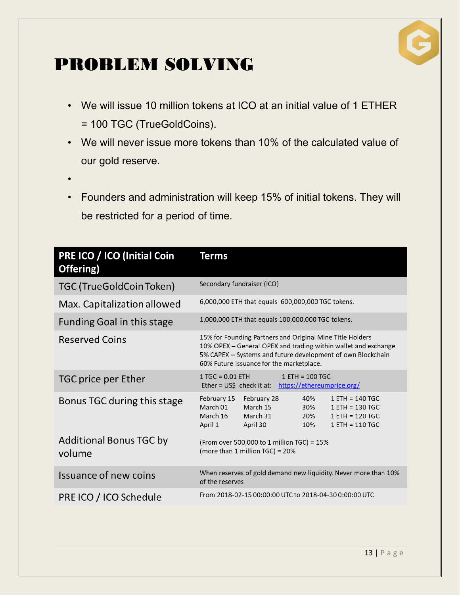

## PROBLEM SOLVING

- We will issue 10 million tokens at ICO at an initial value of 1 ETHER = 100 TGC (TrueGoldCoins).
- We will never issue more tokens than 10% of the calculated value of our gold reserve.
- •
- Founders and administration will keep 15% of initial tokens. They will be restricted for a period of time.

| <b>PRE ICO / ICO (Initial Coin</b><br>Offering) | <b>Terms</b>                                                                                                                                                                                                                           |
|-------------------------------------------------|----------------------------------------------------------------------------------------------------------------------------------------------------------------------------------------------------------------------------------------|
| <b>TGC (TrueGoldCoin Token)</b>                 | Secondary fundraiser (ICO)                                                                                                                                                                                                             |
| Max. Capitalization allowed                     | 6,000,000 ETH that equals 600,000,000 TGC tokens.                                                                                                                                                                                      |
| <b>Funding Goal in this stage</b>               | 1,000,000 ETH that equals 100,000,000 TGC tokens.                                                                                                                                                                                      |
| <b>Reserved Coins</b>                           | 15% for Founding Partners and Original Mine Title Holders<br>10% OPEX – General OPEX and trading within wallet and exchange<br>5% CAPEX - Systems and future development of own Blockchain<br>60% Future issuance for the marketplace. |
| TGC price per Ether                             | $1 TGC = 0.01 ETH$<br>$1$ ETH = 100 TGC<br>Ether = US\$ check it at: https://ethereumprice.org/                                                                                                                                        |
| Bonus TGC during this stage                     | February 15<br>February 28<br>40%<br>$1$ ETH = 140 TGC<br>March 15<br>March 01<br>30%<br>$1$ ETH = 130 TGC<br>March 16<br>March 31<br>20%<br>$1$ ETH = 120 TGC<br>April 1<br>April 30<br>10%<br>$1$ ETH = 110 TGC                      |
| Additional Bonus TGC by<br>volume               | (From over 500,000 to 1 million TGC) = 15%<br>(more than 1 million TGC) = 20%                                                                                                                                                          |
| Issuance of new coins                           | When reserves of gold demand new liquidity. Never more than 10%<br>of the reserves                                                                                                                                                     |
| PRE ICO / ICO Schedule                          | From 2018-02-15 00:00:00 UTC to 2018-04-30 0:00:00 UTC                                                                                                                                                                                 |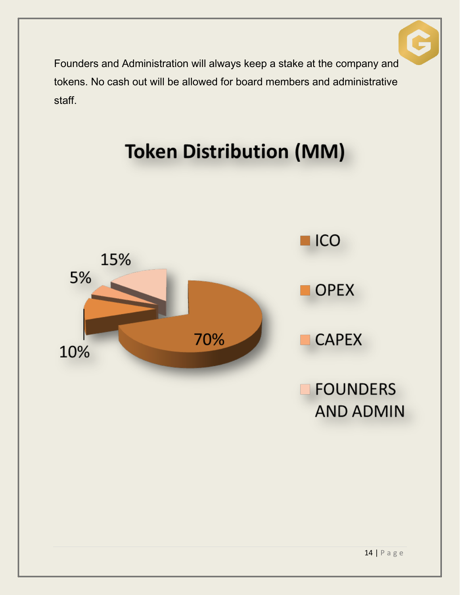

Founders and Administration will always keep a stake at the company and tokens. No cash out will be allowed for board members and administrative staff.

# **Token Distribution (MM)**

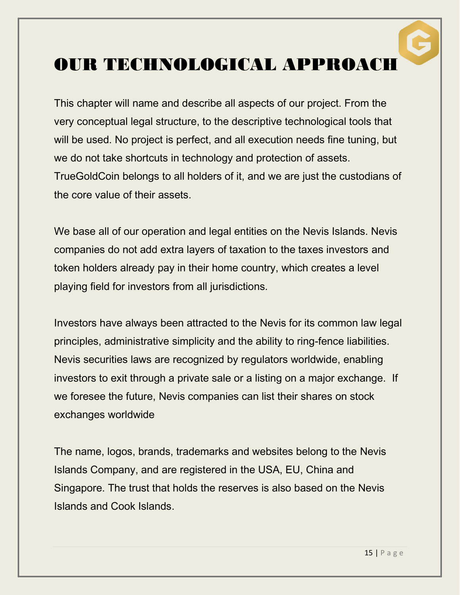### OUR TECHNOLOGICAL APPROACH

This chapter will name and describe all aspects of our project. From the very conceptual legal structure, to the descriptive technological tools that will be used. No project is perfect, and all execution needs fine tuning, but we do not take shortcuts in technology and protection of assets. TrueGoldCoin belongs to all holders of it, and we are just the custodians of the core value of their assets.

We base all of our operation and legal entities on the Nevis Islands. Nevis companies do not add extra layers of taxation to the taxes investors and token holders already pay in their home country, which creates a level playing field for investors from all jurisdictions.

Investors have always been attracted to the Nevis for its common law legal principles, administrative simplicity and the ability to ring-fence liabilities. Nevis securities laws are recognized by regulators worldwide, enabling investors to exit through a private sale or a listing on a major exchange. If we foresee the future, Nevis companies can list their shares on stock exchanges worldwide

The name, logos, brands, trademarks and websites belong to the Nevis Islands Company, and are registered in the USA, EU, China and Singapore. The trust that holds the reserves is also based on the Nevis Islands and Cook Islands.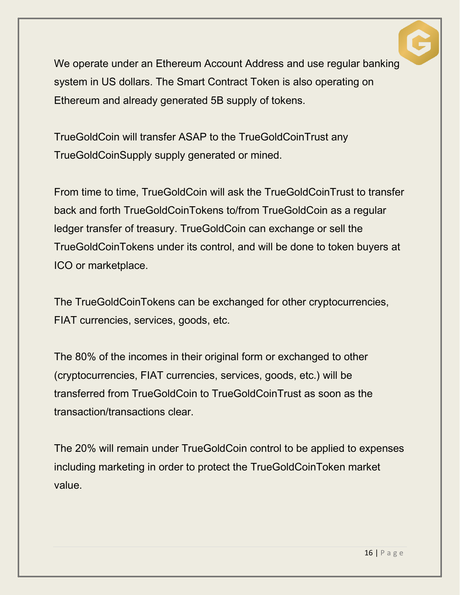

We operate under an Ethereum Account Address and use regular banking system in US dollars. The Smart Contract Token is also operating on Ethereum and already generated 5B supply of tokens.

TrueGoldCoin will transfer ASAP to the TrueGoldCoinTrust any TrueGoldCoinSupply supply generated or mined.

From time to time, TrueGoldCoin will ask the TrueGoldCoinTrust to transfer back and forth TrueGoldCoinTokens to/from TrueGoldCoin as a regular ledger transfer of treasury. TrueGoldCoin can exchange or sell the TrueGoldCoinTokens under its control, and will be done to token buyers at ICO or marketplace.

The TrueGoldCoinTokens can be exchanged for other cryptocurrencies, FIAT currencies, services, goods, etc.

The 80% of the incomes in their original form or exchanged to other (cryptocurrencies, FIAT currencies, services, goods, etc.) will be transferred from TrueGoldCoin to TrueGoldCoinTrust as soon as the transaction/transactions clear.

The 20% will remain under TrueGoldCoin control to be applied to expenses including marketing in order to protect the TrueGoldCoinToken market value.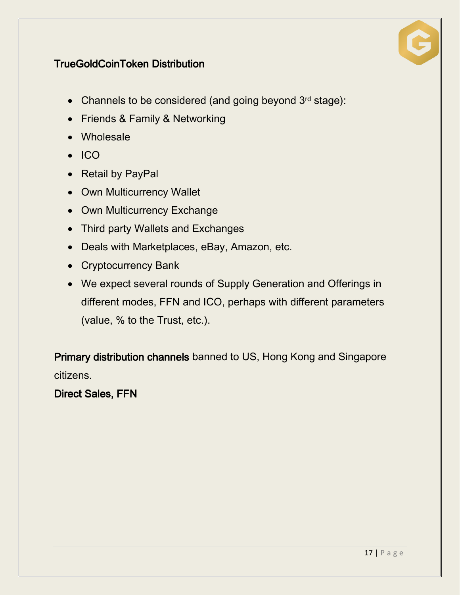

#### TrueGoldCoinToken Distribution

- Channels to be considered (and going beyond 3rd stage):
- Friends & Family & Networking
- Wholesale
- $\bullet$  ICO
- Retail by PayPal
- Own Multicurrency Wallet
- Own Multicurrency Exchange
- Third party Wallets and Exchanges
- Deals with Marketplaces, eBay, Amazon, etc.
- Cryptocurrency Bank
- We expect several rounds of Supply Generation and Offerings in different modes, FFN and ICO, perhaps with different parameters (value, % to the Trust, etc.).

Primary distribution channels banned to US, Hong Kong and Singapore citizens.

Direct Sales, FFN